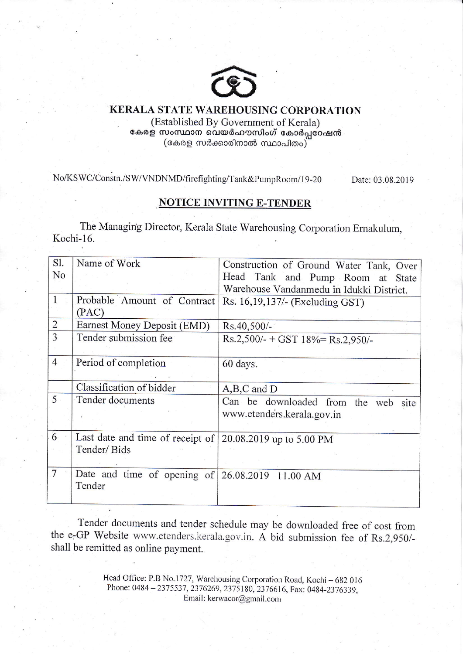

## KERALA STATE WAREHOUSING CORPORATION

(Established By Government of Kerala) കേരള സംസ്ഥാന വെയർഹൗസിംഗ് കോർപ്പറേഷൻ  $\overline{\phantom{a}}$ (കേരള സർക്കാരിനാൽ സ്ഥാപിതം)

No/KSWC/Constn./SW/VNDNMD/firefighting/Tank&PumpRoom/19-20 Date: 03.08.2019

## **NOTICE INVITING E-TENDER**

The Managing Director, Kerala State Warehousing Corporation Ernakulum, Kochi-16.

| S1.             | Name of Work                                              | Construction of Ground Water Tank, Over  |  |  |  |  |
|-----------------|-----------------------------------------------------------|------------------------------------------|--|--|--|--|
| No              |                                                           | Head Tank and Pump Room at State         |  |  |  |  |
|                 |                                                           | Warehouse Vandanmedu in Idukki District. |  |  |  |  |
| $\mathbf{1}$    | Probable Amount of Contract                               | Rs. 16,19,137/- (Excluding GST)          |  |  |  |  |
|                 | (PAC)                                                     |                                          |  |  |  |  |
| $\overline{2}$  | Earnest Money Deposit (EMD)                               | Rs.40,500/-                              |  |  |  |  |
| 3               | Tender submission fee                                     | $Rs.2,500/- + GST$ 18% = Rs.2,950/-      |  |  |  |  |
|                 |                                                           |                                          |  |  |  |  |
| $\overline{4}$  | Period of completion                                      | 60 days.                                 |  |  |  |  |
|                 |                                                           |                                          |  |  |  |  |
|                 | Classification of bidder                                  | $A,B,C$ and $D$                          |  |  |  |  |
| 5               | Tender documents                                          | Can be downloaded from the web<br>site   |  |  |  |  |
|                 |                                                           | www.etenders.kerala.gov.in               |  |  |  |  |
|                 |                                                           |                                          |  |  |  |  |
| $6\overline{6}$ | Last date and time of receipt of 20.08.2019 up to 5.00 PM |                                          |  |  |  |  |
|                 | Tender/Bids                                               |                                          |  |  |  |  |
|                 |                                                           |                                          |  |  |  |  |
| 7               | Date and time of opening of $ 26.08.2019 11.00 AM$        |                                          |  |  |  |  |
|                 | Tender                                                    |                                          |  |  |  |  |
|                 |                                                           |                                          |  |  |  |  |

Tender documents and tender schedule may be downloaded free of cost from the e-GP Website www.etenders.kerala.gov.in. A bid submission fee of Rs.2,950/shall be remitted as online payment.

> Head Office: P.B No.1727, Warehousing Corporation Road, Kochi - 682 016 Phone: 0484 - 2375537, 2376269, 2375180, 2376616, Fax: 0484-2376339, Email: kerwacor@gmail.com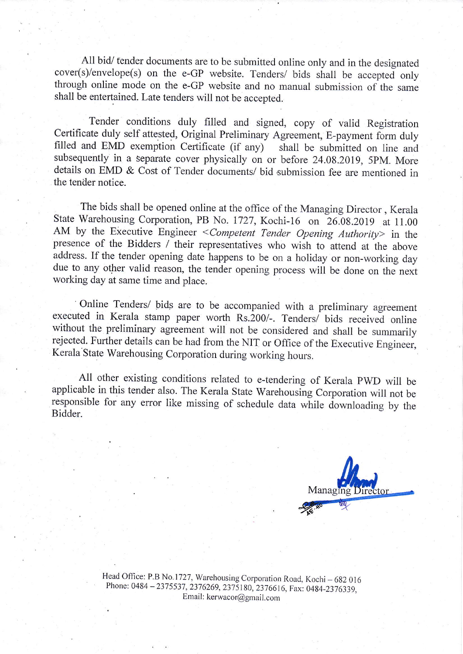All bid/ tender documents are to be submitted online only and in the designated cover(s)/envelope(s) on the e-GP website. Tenders/ bids shall be accepted only through online mode on the e-GP website and no manual submission of the same shall be entertained. Late tenders will not be accepted.

Tender conditions duly filled and signed, copy of valid Registration Certificate duly self attested, Original Preliminary Agreement, E-payment form duly filled and EMD exemption Certificate (if any) shall be submitted on line and filled and EMD exemption Certificate (if any) subsequently in a separate cover physically on or before 24.0g.2019, 5pM. More details on EMD & Cost of Tender documents/ bid submission fee are mentioned in the tender notice.

The bids shall be opened online at the office of the Managing Director, Kerala state warehousing corporation, PB No. 1727, Kochi-16 on 26.0g.2019 at 11.00 AM by the Executive Engineer <Competent Tender Opening Authority> in the presence of the Bidders / their representatives who wish to attend at the above address. If the tender opening date happens to be on a holiday or non-working day due to any other valid reason, the tender opening process will be done on the next working day at same time and place.

' online Tenders/ bidg are to be accompanied with a preliminary agreement executed in Kerala stamp paper worth Rs.200/-. Tenders/ bids received online without the preliminary agreement will not be considered and shall be summarily rejected. Further details can be had from the NIT or Office of the Executive Engineer, Kerala State Warehousing Corporation during working hours.

 $\frac{1}{12}$ All other existing conditions related to e-tendering of Kerala pwD will be applicable in this tender also. The Kerala State Warehousing Corporation will not be responsible for any error like missing of schedule data while downloading by the Bidder.



Head Office: P.B No.1727, Warehousing Corporation Road, Kochi - 682 016 Phone: 0484 - 2375537, 2376269, 2375180, 2376616, Fax: 0484-2376339, Email: ker wacor@gmail.com